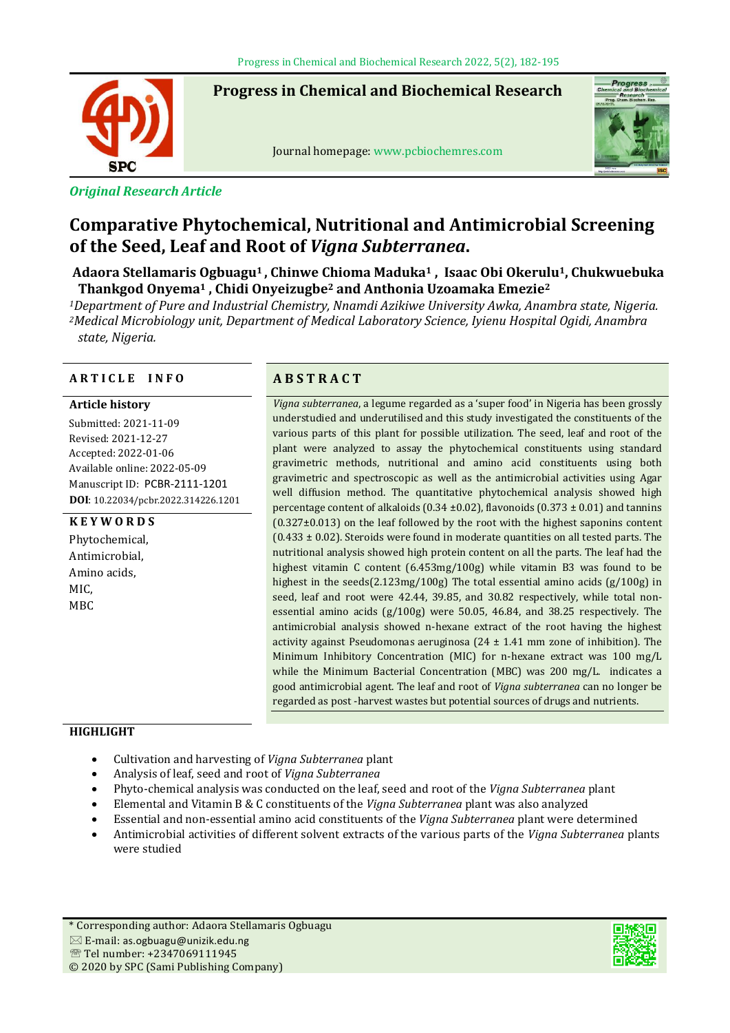

# *Original Research Article*

# **Progress in Chemical and Biochemical Research**

Journal homepage: www.pcbiochemres.com



# **Comparative Phytochemical, Nutritional and Antimicrobial Screening of the Seed, Leaf and Root of** *Vigna Subterranea***.**

**Adaora Stellamaris Ogbuagu1 , Chinwe Chioma Maduka<sup>1</sup> , Isaac Obi Okerulu1, Chukwuebuka Thankgod Onyema<sup>1</sup> , Chidi Onyeizugbe<sup>2</sup> and Anthonia Uzoamaka Emezie<sup>2</sup>**

*<sup>1</sup>Department of Pure and Industrial Chemistry, Nnamdi Azikiwe University Awka, Anambra state, Nigeria. <sup>2</sup>Medical Microbiology unit, Department of Medical Laboratory Science, Iyienu Hospital Ogidi, Anambra state, Nigeria.*

# **A R T I C L E I N F O A B S T R A C T**

#### **Article history**

Submitted: 2021-11-09 Revised: 2021-12-27 Accepted: 2022-01-06 Available online: 2022-05-09 Manuscript ID: PCBR-2111-1201 **DOI**: 10.22034/pcbr.2022.314226.1201

# **K E Y W O R D S**

Phytochemical, Antimicrobial, Amino acids, MIC, MBC

*Vigna subterranea*, a legume regarded as a 'super food' in Nigeria has been grossly understudied and underutilised and this study investigated the constituents of the various parts of this plant for possible utilization. The seed, leaf and root of the plant were analyzed to assay the phytochemical constituents using standard gravimetric methods, nutritional and amino acid constituents using both gravimetric and spectroscopic as well as the antimicrobial activities using Agar well diffusion method. The quantitative phytochemical analysis showed high percentage content of alkaloids (0.34  $\pm$ 0.02), flavonoids (0.373  $\pm$  0.01) and tannins (0.327±0.013) on the leaf followed by the root with the highest saponins content  $(0.433 \pm 0.02)$ . Steroids were found in moderate quantities on all tested parts. The nutritional analysis showed high protein content on all the parts. The leaf had the highest vitamin C content (6.453mg/100g) while vitamin B3 was found to be highest in the seeds(2.123mg/100g) The total essential amino acids (g/100g) in seed, leaf and root were 42.44, 39.85, and 30.82 respectively, while total nonessential amino acids (g/100g) were 50.05, 46.84, and 38.25 respectively. The antimicrobial analysis showed n-hexane extract of the root having the highest activity against Pseudomonas aeruginosa (24 ± 1.41 mm zone of inhibition). The Minimum Inhibitory Concentration (MIC) for n-hexane extract was 100 mg/L while the Minimum Bacterial Concentration (MBC) was 200 mg/L. indicates a good antimicrobial agent. The leaf and root of *Vigna subterranea* can no longer be regarded as post -harvest wastes but potential sources of drugs and nutrients.

# **HIGHLIGHT**

- Cultivation and harvesting of *Vigna Subterranea* plant
- Analysis of leaf, seed and root of *Vigna Subterranea*
- Phyto-chemical analysis was conducted on the leaf, seed and root of the *Vigna Subterranea* plant
- Elemental and Vitamin B & C constituents of the *Vigna Subterranea* plant was also analyzed
- Essential and non-essential amino acid constituents of the *Vigna Subterranea* plant were determined
- Antimicrobial activities of different solvent extracts of the various parts of the *Vigna Subterranea* plants were studied

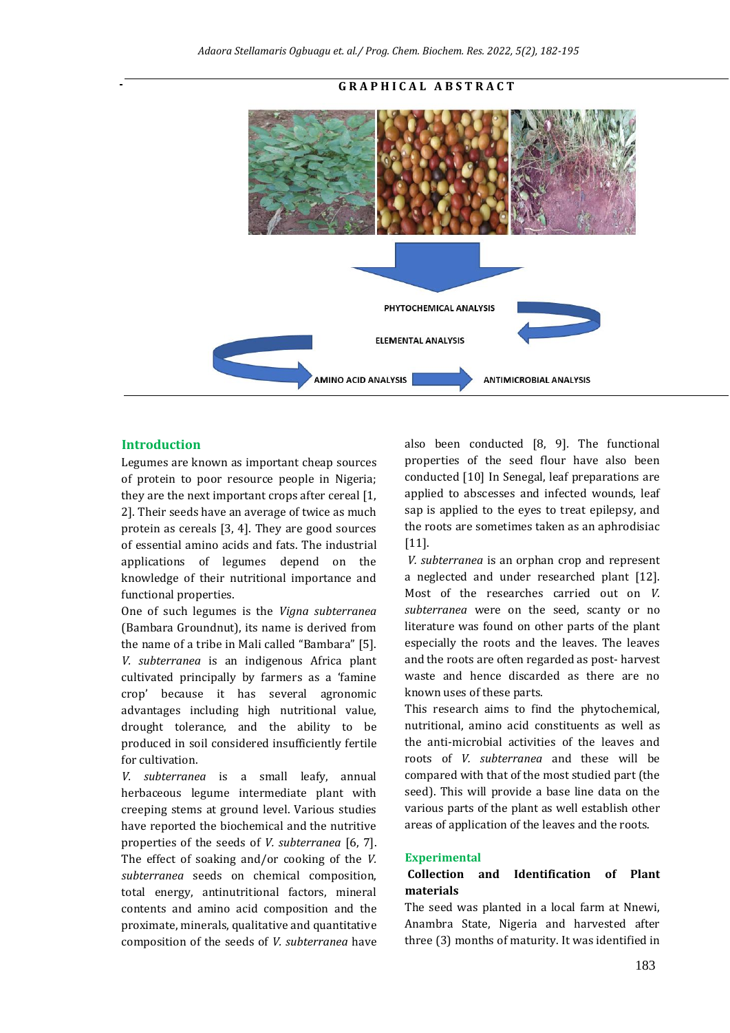

# **G R A P H I C A L A B S T R A C T**

#### **Introduction**

Legumes are known as important cheap sources of protein to poor resource people in Nigeria; they are the next important crops after cereal [1, 2]. Their seeds have an average of twice as much protein as cereals [3, 4]. They are good sources of essential amino acids and fats. The industrial applications of legumes depend on the knowledge of their nutritional importance and functional properties.

One of such legumes is the *Vigna subterranea*  (Bambara Groundnut), its name is derived from the name of a tribe in Mali called "Bambara" [5]. *V. subterranea* is an indigenous Africa plant cultivated principally by farmers as a 'famine crop' because it has several agronomic advantages including high nutritional value, drought tolerance, and the ability to be produced in soil considered insufficiently fertile for cultivation.

*V. subterranea* is a small leafy, annual herbaceous legume intermediate plant with creeping stems at ground level. Various studies have reported the biochemical and the nutritive properties of the seeds of *V. subterranea* [6, 7]. The effect of soaking and/or cooking of the *V. subterranea* seeds on chemical composition, total energy, antinutritional factors, mineral contents and amino acid composition and the proximate, minerals, qualitative and quantitative composition of the seeds of *V. subterranea* have also been conducted [8, 9]*.* The functional properties of the seed flour have also been conducted [10] In Senegal, leaf preparations are applied to abscesses and infected wounds, leaf sap is applied to the eyes to treat epilepsy, and the roots are sometimes taken as an aphrodisiac [11].

*V. subterranea* is an orphan crop and represent a neglected and under researched plant [12]. Most of the researches carried out on *V. subterranea* were on the seed, scanty or no literature was found on other parts of the plant especially the roots and the leaves. The leaves and the roots are often regarded as post- harvest waste and hence discarded as there are no known uses of these parts.

This research aims to find the phytochemical, nutritional, amino acid constituents as well as the anti-microbial activities of the leaves and roots of *V. subterranea* and these will be compared with that of the most studied part (the seed). This will provide a base line data on the various parts of the plant as well establish other areas of application of the leaves and the roots.

#### **Experimental**

# **Collection and Identification of Plant materials**

The seed was planted in a local farm at Nnewi, Anambra State, Nigeria and harvested after three (3) months of maturity. It was identified in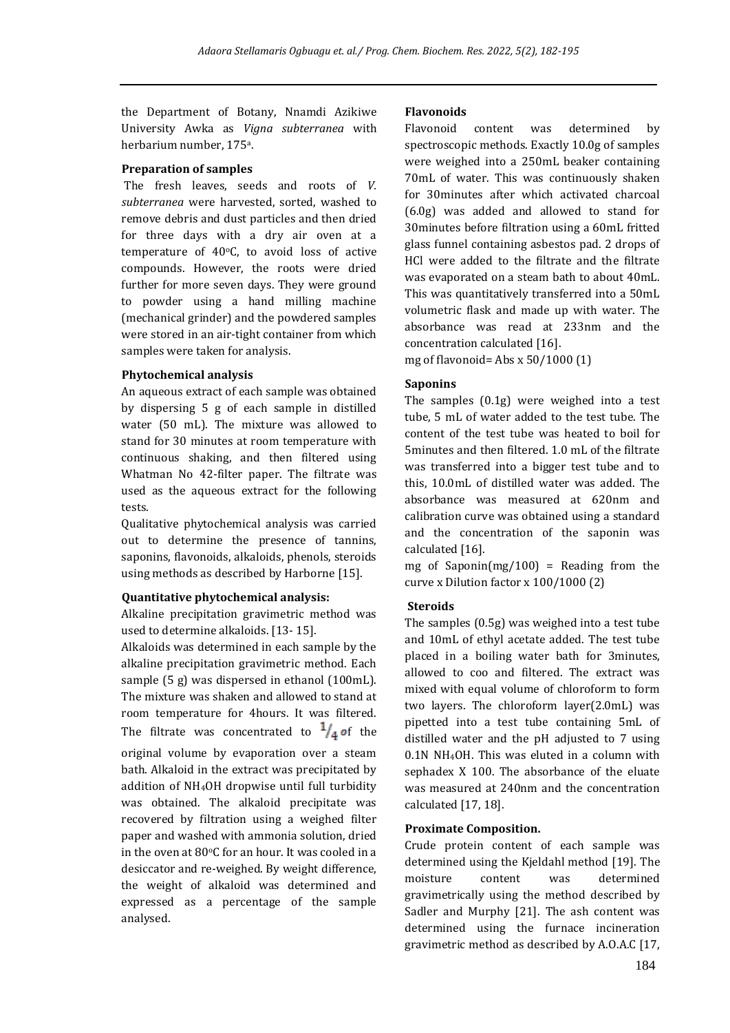the Department of Botany, Nnamdi Azikiwe University Awka as *Vigna subterranea* with herbarium number, 175<sup>a</sup> .

#### **Preparation of samples**

The fresh leaves, seeds and roots of *V. subterranea* were harvested, sorted, washed to remove debris and dust particles and then dried for three days with a dry air oven at a temperature of  $40^{\circ}$ C, to avoid loss of active compounds. However, the roots were dried further for more seven days. They were ground to powder using a hand milling machine (mechanical grinder) and the powdered samples were stored in an air-tight container from which samples were taken for analysis.

# **Phytochemical analysis**

An aqueous extract of each sample was obtained by dispersing 5 g of each sample in distilled water (50 mL). The mixture was allowed to stand for 30 minutes at room temperature with continuous shaking, and then filtered using Whatman No 42-filter paper. The filtrate was used as the aqueous extract for the following tests.

Qualitative phytochemical analysis was carried out to determine the presence of tannins, saponins, flavonoids, alkaloids, phenols, steroids using methods as described by Harborne [15].

# **Quantitative phytochemical analysis:**

Alkaline precipitation gravimetric method was used to determine alkaloids. [13- 15].

Alkaloids was determined in each sample by the alkaline precipitation gravimetric method. Each sample (5 g) was dispersed in ethanol (100mL). The mixture was shaken and allowed to stand at room temperature for 4hours. It was filtered. The filtrate was concentrated to  $\frac{1}{4}$  of the original volume by evaporation over a steam bath. Alkaloid in the extract was precipitated by addition of NH4OH dropwise until full turbidity was obtained. The alkaloid precipitate was recovered by filtration using a weighed filter paper and washed with ammonia solution, dried in the oven at 80 $\mathrm{^oC}$  for an hour. It was cooled in a desiccator and re-weighed. By weight difference, the weight of alkaloid was determined and expressed as a percentage of the sample analysed.

# **Flavonoids**

Flavonoid content was determined by spectroscopic methods. Exactly 10.0g of samples were weighed into a 250mL beaker containing 70mL of water. This was continuously shaken for 30minutes after which activated charcoal (6.0g) was added and allowed to stand for 30minutes before filtration using a 60mL fritted glass funnel containing asbestos pad. 2 drops of HCl were added to the filtrate and the filtrate was evaporated on a steam bath to about 40mL. This was quantitatively transferred into a 50mL volumetric flask and made up with water. The absorbance was read at 233nm and the concentration calculated [16].

mg of flavonoid= Abs x 50/1000 (1)

# **Saponins**

The samples (0.1g) were weighed into a test tube, 5 mL of water added to the test tube. The content of the test tube was heated to boil for 5minutes and then filtered. 1.0 mL of the filtrate was transferred into a bigger test tube and to this, 10.0mL of distilled water was added. The absorbance was measured at 620nm and calibration curve was obtained using a standard and the concentration of the saponin was calculated [16].

mg of Saponin(mg/100) = Reading from the curve x Dilution factor x 100/1000 (2)

# **Steroids**

The samples (0.5g) was weighed into a test tube and 10mL of ethyl acetate added. The test tube placed in a boiling water bath for 3minutes, allowed to coo and filtered. The extract was mixed with equal volume of chloroform to form two layers. The chloroform layer(2.0mL) was pipetted into a test tube containing 5mL of distilled water and the pH adjusted to 7 using 0.1N NH4OH. This was eluted in a column with sephadex X 100. The absorbance of the eluate was measured at 240nm and the concentration calculated [17, 18].

# **Proximate Composition.**

Crude protein content of each sample was determined using the Kjeldahl method [19]. The moisture content was determined gravimetrically using the method described by Sadler and Murphy [21]. The ash content was determined using the furnace incineration gravimetric method as described by A.O.A.C [17,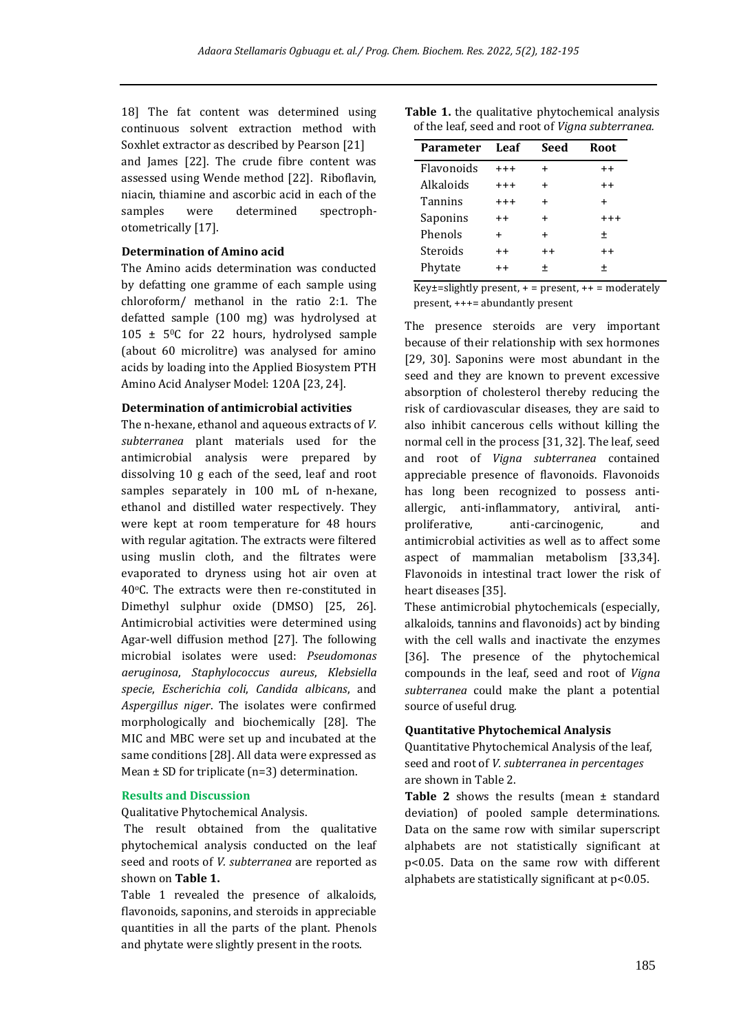18] The fat content was determined using continuous solvent extraction method with Soxhlet extractor as described by Pearson [21] and James [22]. The crude fibre content was assessed using Wende method [22]. Riboflavin, niacin, thiamine and ascorbic acid in each of the samples were determined spectrophotometrically [17].

#### **Determination of Amino acid**

The Amino acids determination was conducted by defatting one gramme of each sample using chloroform/ methanol in the ratio 2:1. The defatted sample (100 mg) was hydrolysed at  $105 \pm 50$ C for 22 hours, hydrolysed sample (about 60 microlitre) was analysed for amino acids by loading into the Applied Biosystem PTH Amino Acid Analyser Model: 120A [23, 24].

### **Determination of antimicrobial activities**

The n-hexane, ethanol and aqueous extracts of *V. subterranea* plant materials used for the antimicrobial analysis were prepared by dissolving 10 g each of the seed, leaf and root samples separately in 100 mL of n-hexane, ethanol and distilled water respectively. They were kept at room temperature for 48 hours with regular agitation. The extracts were filtered using muslin cloth, and the filtrates were evaporated to dryness using hot air oven at 40oC. The extracts were then re-constituted in Dimethyl sulphur oxide (DMSO) [25, 26]. Antimicrobial activities were determined using Agar-well diffusion method [27]. The following microbial isolates were used: *Pseudomonas aeruginosa*, *Staphylococcus aureus*, *Klebsiella specie*, *Escherichia coli*, *Candida albicans*, and *Aspergillus niger*. The isolates were confirmed morphologically and biochemically [28]. The MIC and MBC were set up and incubated at the same conditions [28]. All data were expressed as Mean  $\pm$  SD for triplicate (n=3) determination.

#### **Results and Discussion**

Qualitative Phytochemical Analysis.

The result obtained from the qualitative phytochemical analysis conducted on the leaf seed and roots of *V. subterranea* are reported as shown on **Table 1.**

Table 1 revealed the presence of alkaloids, flavonoids, saponins, and steroids in appreciable quantities in all the parts of the plant. Phenols and phytate were slightly present in the roots.

| <b>Table 1.</b> the qualitative phytochemical analysis |  |  |
|--------------------------------------------------------|--|--|
| of the leaf, seed and root of Vigna subterranea.       |  |  |

| Parameter         | Leaf      | Seed      | Root      |
|-------------------|-----------|-----------|-----------|
| <b>Flavonoids</b> | $+++$     | $\div$    | $++$      |
| Alkaloids         | $+++$     | $\ddot{}$ | $++$      |
| Tannins           | $+++$     | $\ddot{}$ | $\ddot{}$ |
| Saponins          | $++$      | $\div$    | $^{+++}$  |
| Phenols           | $\ddot{}$ | $\ddot{}$ | 土         |
| Steroids          | $++$      | $++$      | $++$      |
| Phytate           | $++$      | ÷         | $\pm$     |

Key $\pm$ =slightly present,  $+$  = present,  $++$  = moderately present, +++= abundantly present

The presence steroids are very important because of their relationship with sex hormones [29, 30]. Saponins were most abundant in the seed and they are known to prevent excessive absorption of cholesterol thereby reducing the risk of cardiovascular diseases, they are said to also inhibit cancerous cells without killing the normal cell in the process [31, 32]. The leaf, seed and root of *Vigna subterranea* contained appreciable presence of flavonoids. Flavonoids has long been recognized to possess antiallergic, anti-inflammatory, antiviral, antiproliferative, anti-carcinogenic, and antimicrobial activities as well as to affect some aspect of mammalian metabolism [33,34]. Flavonoids in intestinal tract lower the risk of heart diseases [35].

These antimicrobial phytochemicals (especially, alkaloids, tannins and flavonoids) act by binding with the cell walls and inactivate the enzymes [36]. The presence of the phytochemical compounds in the leaf, seed and root of *Vigna subterranea* could make the plant a potential source of useful drug.

#### **Quantitative Phytochemical Analysis**

Quantitative Phytochemical Analysis of the leaf, seed and root of *V. subterranea in percentages* are shown in Table 2.

Table 2 shows the results (mean  $\pm$  standard deviation) of pooled sample determinations. Data on the same row with similar superscript alphabets are not statistically significant at p<0.05. Data on the same row with different alphabets are statistically significant at p<0.05.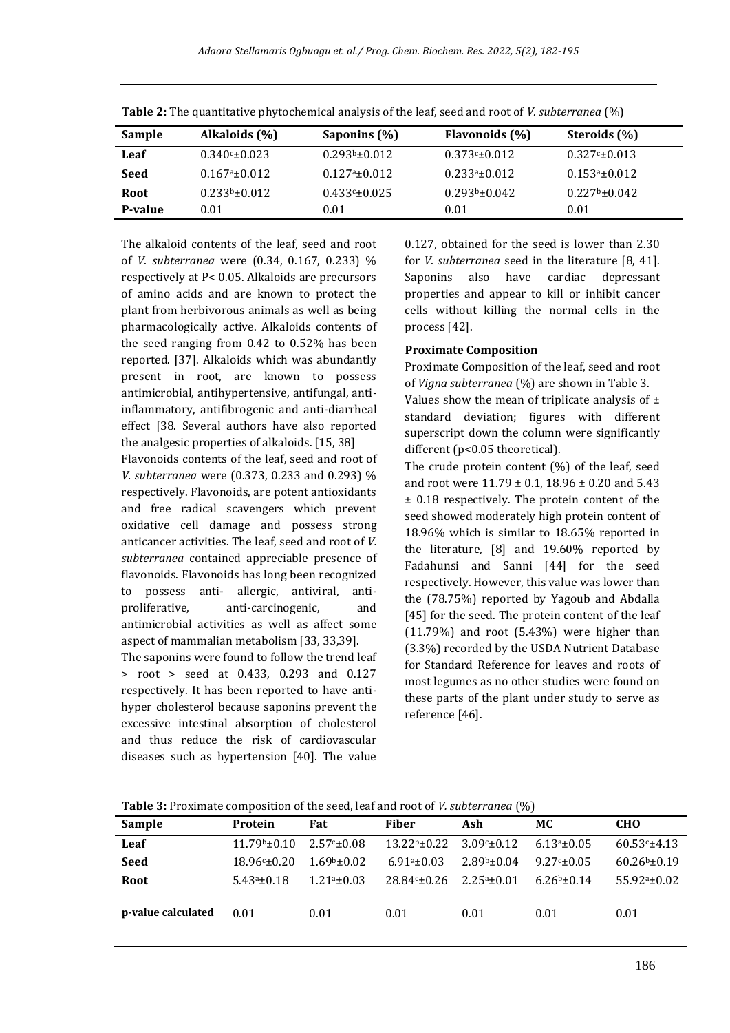| <b>Sample</b> | Alkaloids (%)        | Saponins (%)        | Flavonoids (%)     | Steroids (%)         |  |
|---------------|----------------------|---------------------|--------------------|----------------------|--|
| Leaf          | $0.340 \times 0.023$ | $0.293b + 0.012$    | $0.373c \pm 0.012$ | $0.327 \times 0.013$ |  |
| Seed          | $0.167a_{\pm}0.012$  | $0.127a_{\pm}0.012$ | $0.233a + 0.012$   | $0.153a \pm 0.012$   |  |
| <b>Root</b>   | $0.233b \pm 0.012$   | $0.433c \pm 0.025$  | $0.293b \pm 0.042$ | $0.227b \pm 0.042$   |  |
| P-value       | 0.01                 | 0.01                | 0.01               | 0.01                 |  |

**Table 2:** The quantitative phytochemical analysis of the leaf, seed and root of *V. subterranea* (%)

The alkaloid contents of the leaf, seed and root of *V. subterranea* were (0.34, 0.167, 0.233) % respectively at P< 0.05. Alkaloids are precursors of amino acids and are known to protect the plant from herbivorous animals as well as being pharmacologically active. Alkaloids contents of the seed ranging from 0.42 to 0.52% has been reported. [37]. Alkaloids which was abundantly present in root, are known to possess antimicrobial, antihypertensive, antifungal, antiinflammatory, antifibrogenic and anti-diarrheal effect [38. Several authors have also reported the analgesic properties of alkaloids. [15, 38]

Flavonoids contents of the leaf, seed and root of *V. subterranea* were (0.373, 0.233 and 0.293) % respectively. Flavonoids, are potent antioxidants and free radical scavengers which prevent oxidative cell damage and possess strong anticancer activities. The leaf, seed and root of *V. subterranea* contained appreciable presence of flavonoids. Flavonoids has long been recognized to possess anti- allergic, antiviral, antiproliferative, anti-carcinogenic, and antimicrobial activities as well as affect some aspect of mammalian metabolism [33, 33,39].

The saponins were found to follow the trend leaf > root > seed at 0.433, 0.293 and 0.127 respectively. It has been reported to have antihyper cholesterol because saponins prevent the excessive intestinal absorption of cholesterol and thus reduce the risk of cardiovascular diseases such as hypertension [40]. The value

0.127, obtained for the seed is lower than 2.30 for *V. subterranea* seed in the literature [8, 41]. Saponins also have cardiac depressant properties and appear to kill or inhibit cancer cells without killing the normal cells in the process [42].

#### **Proximate Composition**

Proximate Composition of the leaf, seed and root of *Vigna subterranea* (%) are shown in Table 3.

Values show the mean of triplicate analysis of  $\pm$ standard deviation; figures with different superscript down the column were significantly different (p<0.05 theoretical).

The crude protein content (%) of the leaf, seed and root were 11.79 ± 0.1, 18.96 ± 0.20 and 5.43 ± 0.18 respectively. The protein content of the seed showed moderately high protein content of 18.96% which is similar to 18.65% reported in the literature*,* [8] and 19.60% reported by Fadahunsi and Sanni [44] for the seed respectively. However, this value was lower than the (78.75%) reported by Yagoub and Abdalla [45] for the seed. The protein content of the leaf (11.79%) and root (5.43%) were higher than (3.3%) recorded by the USDA Nutrient Database for Standard Reference for leaves and roots of most legumes as no other studies were found on these parts of the plant under study to serve as reference [46].

**Table 3:** Proximate composition of the seed, leaf and root of *V. subterranea* (%)

| Sample             | Protein             | Fat               | <b>Fiber</b>        | Ash              | MC.            | <b>CHO</b>        |
|--------------------|---------------------|-------------------|---------------------|------------------|----------------|-------------------|
| Leaf               | $11.79b + 0.10$     | $2.57 - 0.08$     | $13.22b \pm 0.22$   | $3.09c \pm 0.12$ | $6.13a + 0.05$ | $60.53c+4.13$     |
| <b>Seed</b>        | $18.96 \times 0.20$ | $1.69b+0.02$      | $6.91a+0.03$        | $2.89b \pm 0.04$ | $9.27 - 0.05$  | $60.26b \pm 0.19$ |
| <b>Root</b>        | $5.43a_{\pm}0.18$   | $1.21a_{\pm}0.03$ | $28.84 \times 0.26$ | $2.25a \pm 0.01$ | $6.26b+0.14$   | $55.92a \pm 0.02$ |
| p-value calculated | 0.01                | 0.01              | 0.01                | 0.01             | 0.01           | 0.01              |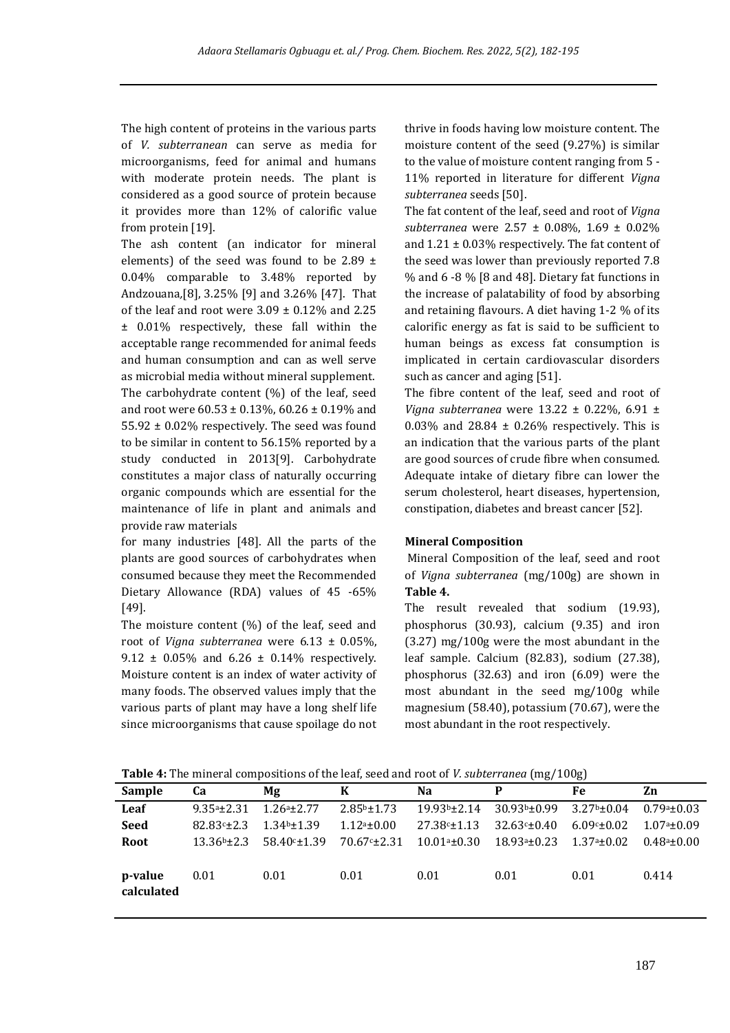The high content of proteins in the various parts of *V. subterranean* can serve as media for microorganisms, feed for animal and humans with moderate protein needs. The plant is considered as a good source of protein because it provides more than 12% of calorific value from protein [19].

The ash content (an indicator for mineral elements) of the seed was found to be 2.89  $\pm$ 0.04% comparable to 3.48% reported by Andzouana*,*[8], 3.25% [9] and 3.26% [47]. That of the leaf and root were  $3.09 \pm 0.12\%$  and 2.25 ± 0.01% respectively, these fall within the acceptable range recommended for animal feeds and human consumption and can as well serve as microbial media without mineral supplement. The carbohydrate content (%) of the leaf, seed and root were 60.53 ± 0.13%, 60.26 ± 0.19% and 55.92 ± 0.02% respectively. The seed was found to be similar in content to 56.15% reported by a study conducted in 2013[9]. Carbohydrate constitutes a major class of naturally occurring organic compounds which are essential for the maintenance of life in plant and animals and provide raw materials

for many industries [48]. All the parts of the plants are good sources of carbohydrates when consumed because they meet the Recommended Dietary Allowance (RDA) values of 45 -65% [49].

The moisture content (%) of the leaf, seed and root of *Vigna subterranea* were 6.13 ± 0.05%, 9.12  $\pm$  0.05% and 6.26  $\pm$  0.14% respectively. Moisture content is an index of water activity of many foods. The observed values imply that the various parts of plant may have a long shelf life since microorganisms that cause spoilage do not thrive in foods having low moisture content. The moisture content of the seed (9.27%) is similar to the value of moisture content ranging from 5 - 11% reported in literature for different *Vigna subterranea* seeds [50].

The fat content of the leaf, seed and root of *Vigna subterranea* were 2.57 ± 0.08%, 1.69 ± 0.02% and  $1.21 \pm 0.03\%$  respectively. The fat content of the seed was lower than previously reported 7.8 % and 6 -8 % [8 and 48]. Dietary fat functions in the increase of palatability of food by absorbing and retaining flavours. A diet having 1-2 % of its calorific energy as fat is said to be sufficient to human beings as excess fat consumption is implicated in certain cardiovascular disorders such as cancer and aging [51].

The fibre content of the leaf, seed and root of *Vigna subterranea* were 13.22 ± 0.22%, 6.91 ±  $0.03\%$  and  $28.84 \pm 0.26\%$  respectively. This is an indication that the various parts of the plant are good sources of crude fibre when consumed. Adequate intake of dietary fibre can lower the serum cholesterol, heart diseases, hypertension, constipation, diabetes and breast cancer [52].

#### **Mineral Composition**

Mineral Composition of the leaf, seed and root of *Vigna subterranea* (mg/100g) are shown in **Table 4.**

The result revealed that sodium (19.93), phosphorus (30.93), calcium (9.35) and iron (3.27) mg/100g were the most abundant in the leaf sample. Calcium (82.83), sodium (27.38), phosphorus (32.63) and iron (6.09) were the most abundant in the seed mg/100g while magnesium (58.40), potassium (70.67), were the most abundant in the root respectively.

**Table 4:** The mineral compositions of the leaf, seed and root of *V. subterranea* (mg/100g)

| Sample                | Ca                 | Mα                                       | K                  | Na                  | P                                                                            | Fe               | Zn             |
|-----------------------|--------------------|------------------------------------------|--------------------|---------------------|------------------------------------------------------------------------------|------------------|----------------|
| Leaf                  | $9.35a + 2.31$     | $1.26a + 2.77$                           | $2.85b \pm 1.73$   | $19.93b + 2.14$     | 30.93 <sup>b</sup> ±0.99                                                     | $3.27b \pm 0.04$ | $0.79a + 0.03$ |
| <b>Seed</b>           | $82.83 \times 2.3$ | $1.34b \pm 1.39$                         | $1.12a \pm 0.00$   | $27.38c \pm 1.13$   | $32.63c \pm 0.40$                                                            | $6.09c \pm 0.02$ | $1.07a + 0.09$ |
| Root                  |                    | $13.36b + 2.3$ 58.40 <sup>c</sup> + 1.39 | $70.67c_{\pm}2.31$ | $10.01$ ª± $0.30\,$ | $18.93^{\text{a}} \text{\textpm} 0.23$ $1.37^{\text{a}} \text{\textpm} 0.02$ |                  | $0.48a + 0.00$ |
| p-value<br>calculated | 0.01               | 0.01                                     | 0.01               | 0.01                | 0.01                                                                         | 0.01             | 0.414          |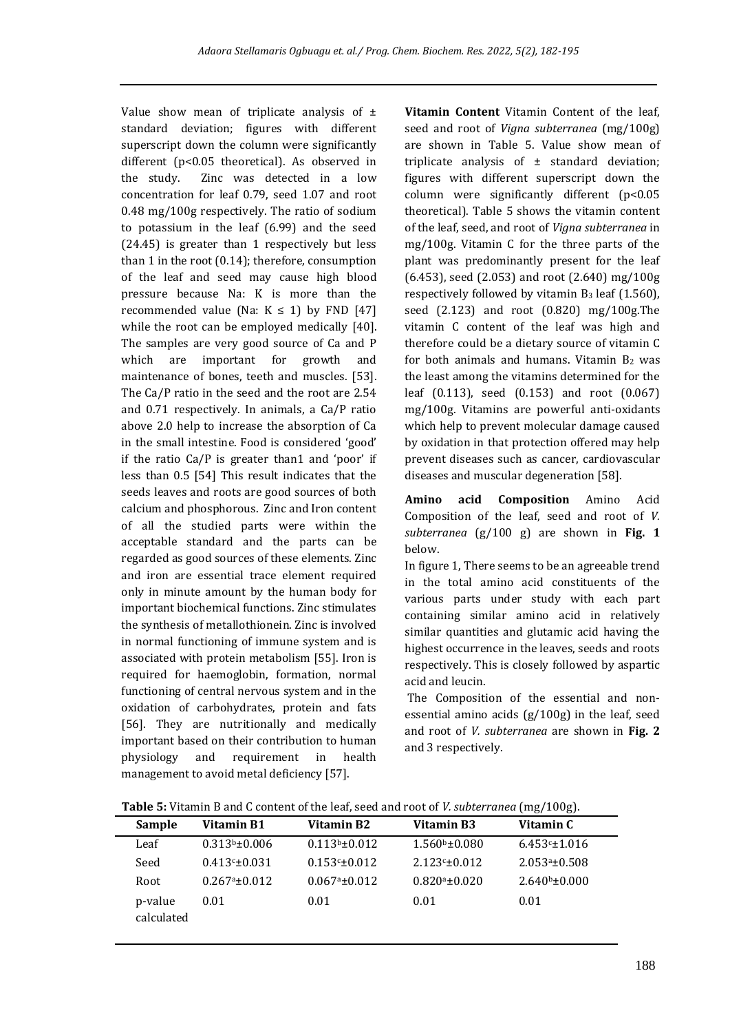Value show mean of triplicate analysis of  $\pm$ standard deviation; figures with different superscript down the column were significantly different (p<0.05 theoretical). As observed in the study. Zinc was detected in a low concentration for leaf 0.79, seed 1.07 and root 0.48 mg/100g respectively. The ratio of sodium to potassium in the leaf (6.99) and the seed (24.45) is greater than 1 respectively but less than 1 in the root (0.14); therefore, consumption of the leaf and seed may cause high blood pressure because Na: K is more than the recommended value (Na:  $K \le 1$ ) by FND [47] while the root can be employed medically [40]. The samples are very good source of Ca and P which are important for growth and maintenance of bones, teeth and muscles. [53]. The Ca/P ratio in the seed and the root are 2.54 and 0.71 respectively. In animals, a Ca/P ratio above 2.0 help to increase the absorption of Ca in the small intestine. Food is considered 'good' if the ratio Ca/P is greater than1 and 'poor' if less than 0.5 [54] This result indicates that the seeds leaves and roots are good sources of both calcium and phosphorous. Zinc and Iron content of all the studied parts were within the acceptable standard and the parts can be regarded as good sources of these elements. Zinc and iron are essential trace element required only in minute amount by the human body for important biochemical functions. Zinc stimulates the synthesis of metallothionein. Zinc is involved in normal functioning of immune system and is associated with protein metabolism [55]. Iron is required for haemoglobin, formation, normal functioning of central nervous system and in the oxidation of carbohydrates, protein and fats [56]. They are nutritionally and medically important based on their contribution to human physiology and requirement in health management to avoid metal deficiency [57].

**Vitamin Content** Vitamin Content of the leaf, seed and root of *Vigna subterranea* (mg/100g) are shown in Table 5. Value show mean of triplicate analysis of  $\pm$  standard deviation; figures with different superscript down the column were significantly different (p<0.05 theoretical). Table 5 shows the vitamin content of the leaf, seed, and root of *Vigna subterranea* in mg/100g. Vitamin C for the three parts of the plant was predominantly present for the leaf (6.453), seed (2.053) and root (2.640) mg/100g respectively followed by vitamin B<sup>3</sup> leaf (1.560), seed (2.123) and root (0.820) mg/100g.The vitamin C content of the leaf was high and therefore could be a dietary source of vitamin C for both animals and humans. Vitamin  $B_2$  was the least among the vitamins determined for the leaf (0.113), seed (0.153) and root (0.067) mg/100g. Vitamins are powerful anti-oxidants which help to prevent molecular damage caused by oxidation in that protection offered may help prevent diseases such as cancer, cardiovascular diseases and muscular degeneration [58].

**Amino acid Composition** Amino Acid Composition of the leaf, seed and root of *V. subterranea* (g/100 g) are shown in **Fig. 1** below.

In figure 1, There seems to be an agreeable trend in the total amino acid constituents of the various parts under study with each part containing similar amino acid in relatively similar quantities and glutamic acid having the highest occurrence in the leaves, seeds and roots respectively. This is closely followed by aspartic acid and leucin.

The Composition of the essential and nonessential amino acids (g/100g) in the leaf, seed and root of *V. subterranea* are shown in **Fig. 2** and 3 respectively.

|                       | <b>TWORD's PRODUCT D'ORD O CONCENT OF THE TEAT, SECUTATION OF PESADICITATION (1115) TOOS).</b> |                    |                                  |                    |  |  |  |  |  |
|-----------------------|------------------------------------------------------------------------------------------------|--------------------|----------------------------------|--------------------|--|--|--|--|--|
| <b>Sample</b>         | Vitamin B1                                                                                     | Vitamin B2         | Vitamin B3                       | Vitamin C          |  |  |  |  |  |
| Leaf                  | $0.313b \pm 0.006$                                                                             | $0.113b \pm 0.012$ | $1.560$ <sup>b</sup> $\pm 0.080$ | $6.453 \pm 1.016$  |  |  |  |  |  |
| Seed                  | $0.413c \pm 0.031$                                                                             | $0.153c \pm 0.012$ | $2.123c \pm 0.012$               | $2.053a \pm 0.508$ |  |  |  |  |  |
| Root                  | $0.267a \pm 0.012$                                                                             | $0.067a \pm 0.012$ | $0.820a \pm 0.020$               | $2.640b \pm 0.000$ |  |  |  |  |  |
| p-value<br>calculated | 0.01                                                                                           | 0.01               | 0.01                             | 0.01               |  |  |  |  |  |

**Table 5:** Vitamin B and C content of the leaf, seed and root of *V. subterranea* (mg/100g).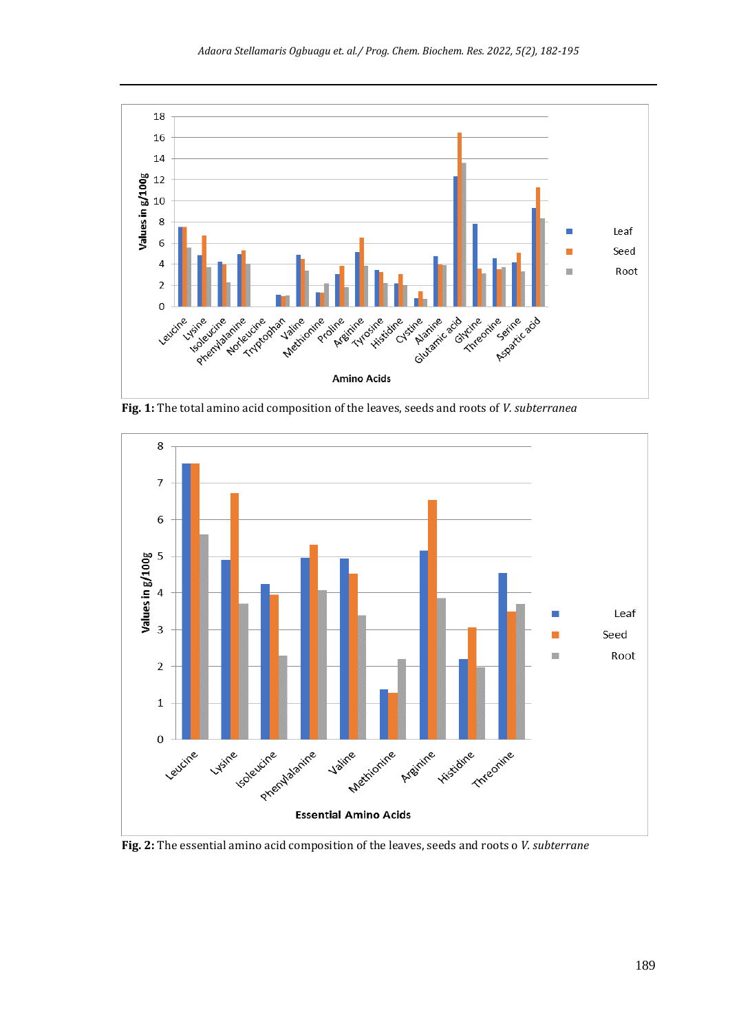

**Fig. 1:** The total amino acid composition of the leaves, seeds and roots of *V. subterranea*



**Fig. 2:** The essential amino acid composition of the leaves, seeds and roots o *V. subterrane*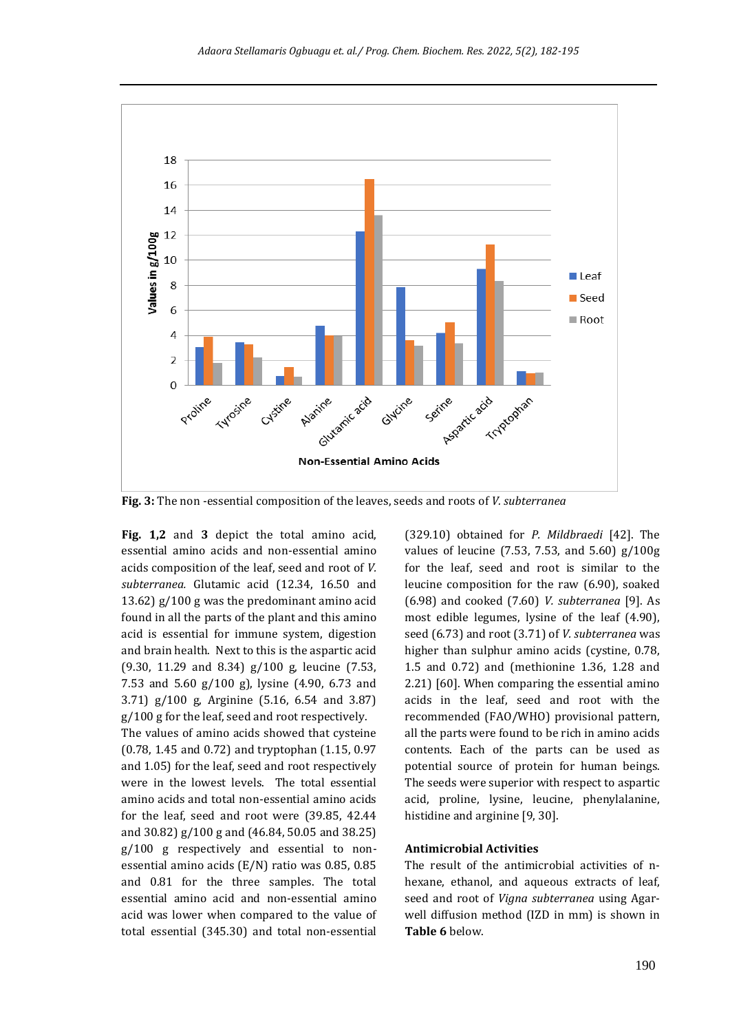

**Fig. 3:** The non -essential composition of the leaves, seeds and roots of *V. subterranea*

**Fig. 1,2** and **3** depict the total amino acid, essential amino acids and non-essential amino acids composition of the leaf, seed and root of *V. subterranea.* Glutamic acid (12.34, 16.50 and 13.62) g/100 g was the predominant amino acid found in all the parts of the plant and this amino acid is essential for immune system, digestion and brain health. Next to this is the aspartic acid (9.30, 11.29 and 8.34) g/100 g, leucine (7.53, 7.53 and 5.60 g/100 g), lysine (4.90, 6.73 and 3.71) g/100 g, Arginine (5.16, 6.54 and 3.87) g/100 g for the leaf, seed and root respectively. The values of amino acids showed that cysteine (0.78, 1.45 and 0.72) and tryptophan (1.15, 0.97 and 1.05) for the leaf, seed and root respectively were in the lowest levels. The total essential amino acids and total non-essential amino acids for the leaf, seed and root were (39.85, 42.44 and 30.82) g/100 g and (46.84, 50.05 and 38.25) g/100 g respectively and essential to nonessential amino acids (E/N) ratio was 0.85, 0.85 and 0.81 for the three samples. The total essential amino acid and non-essential amino acid was lower when compared to the value of total essential (345.30) and total non-essential

(329.10) obtained for *P. Mildbraedi* [42]. The values of leucine (7.53, 7.53, and 5.60) g/100g for the leaf, seed and root is similar to the leucine composition for the raw (6.90), soaked (6.98) and cooked (7.60) *V. subterranea* [9]. As most edible legumes, lysine of the leaf (4.90), seed (6.73) and root (3.71) of *V. subterranea* was higher than sulphur amino acids (cystine, 0.78, 1.5 and 0.72) and (methionine 1.36, 1.28 and 2.21) [60]. When comparing the essential amino acids in the leaf, seed and root with the recommended (FAO/WHO) provisional pattern, all the parts were found to be rich in amino acids contents. Each of the parts can be used as potential source of protein for human beings. The seeds were superior with respect to aspartic acid, proline, lysine, leucine, phenylalanine, histidine and arginine [9, 30].

#### **Antimicrobial Activities**

The result of the antimicrobial activities of nhexane, ethanol, and aqueous extracts of leaf, seed and root of *Vigna subterranea* using Agarwell diffusion method (IZD in mm) is shown in **Table 6** below.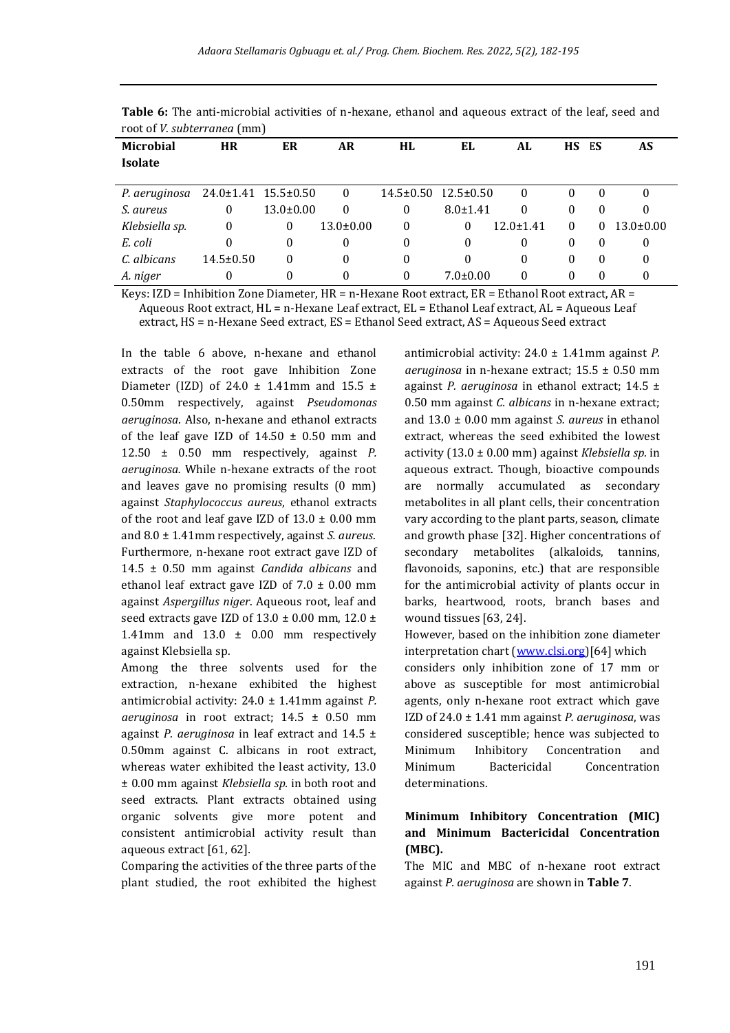| <b>Microbial</b><br><b>Isolate</b> | <b>HR</b>           | ER              | AR              | HL              | EL              | AL               | НS       | ES       | AS              |
|------------------------------------|---------------------|-----------------|-----------------|-----------------|-----------------|------------------|----------|----------|-----------------|
|                                    |                     |                 |                 |                 |                 |                  |          |          |                 |
| P. aeruginosa                      | 24.0±1.41 15.5±0.50 |                 | $\mathbf{0}$    | $14.5 \pm 0.50$ | $12.5 \pm 0.50$ | $\boldsymbol{0}$ | $\theta$ | 0        | $\theta$        |
| S. aureus                          | 0                   | $13.0 \pm 0.00$ | $\theta$        | $\bf{0}$        | $8.0 \pm 1.41$  | $\theta$         | $\theta$ | $\Omega$ | 0               |
| Klebsiella sp.                     | $\theta$            | $\theta$        | $13.0 \pm 0.00$ | $\bf{0}$        | $\theta$        | $12.0 \pm 1.41$  | $\theta$ | $\theta$ | $13.0 \pm 0.00$ |
| E. coli                            | 0                   | 0               | 0               | $\bf{0}$        | $\Omega$        | 0                | $\theta$ | $\Omega$ | 0               |
| C. albicans                        | $14.5 \pm 0.50$     | 0               | 0               | $\theta$        | $\theta$        | 0                | $\theta$ | $\theta$ | 0               |
| A. niger                           | $\theta$            | 0               | $\mathbf{0}$    | $\theta$        | $7.0 \pm 0.00$  | $\theta$         | $\theta$ | 0        | 0               |

**Table 6:** The anti-microbial activities of n-hexane, ethanol and aqueous extract of the leaf, seed and root of *V. subterranea* (mm)

Keys: IZD = Inhibition Zone Diameter,  $HR = n$ -Hexane Root extract,  $ER = Ethanol Root$  extract,  $AR =$ Aqueous Root extract, HL = n-Hexane Leaf extract, EL = Ethanol Leaf extract, AL = Aqueous Leaf

extract, HS = n-Hexane Seed extract, ES = Ethanol Seed extract, AS = Aqueous Seed extract

In the table 6 above, n-hexane and ethanol extracts of the root gave Inhibition Zone Diameter (IZD) of 24.0  $\pm$  1.41mm and 15.5  $\pm$ 0.50mm respectively, against *Pseudomonas aeruginosa*. Also, n-hexane and ethanol extracts of the leaf gave IZD of  $14.50 \pm 0.50$  mm and 12.50 ± 0.50 mm respectively, against *P. aeruginosa.* While n-hexane extracts of the root and leaves gave no promising results (0 mm) against *Staphylococcus aureus*, ethanol extracts of the root and leaf gave IZD of  $13.0 \pm 0.00$  mm and 8.0 ± 1.41mm respectively, against *S. aureus*. Furthermore, n-hexane root extract gave IZD of 14.5 ± 0.50 mm against *Candida albicans* and ethanol leaf extract gave IZD of  $7.0 \pm 0.00$  mm against *Aspergillus niger*. Aqueous root, leaf and seed extracts gave IZD of  $13.0 \pm 0.00$  mm,  $12.0 \pm$ 1.41mm and 13.0 ± 0.00 mm respectively against Klebsiella sp.

Among the three solvents used for the extraction, n-hexane exhibited the highest antimicrobial activity: 24.0 ± 1.41mm against *P. aeruginosa* in root extract; 14.5 ± 0.50 mm against *P. aeruginosa* in leaf extract and 14.5 ± 0.50mm against C. albicans in root extract, whereas water exhibited the least activity, 13.0 ± 0.00 mm against *Klebsiella sp.* in both root and seed extracts. Plant extracts obtained using organic solvents give more potent and consistent antimicrobial activity result than aqueous extract [61, 62]*.*

Comparing the activities of the three parts of the plant studied, the root exhibited the highest antimicrobial activity: 24.0 ± 1.41mm against *P. aeruginosa* in n-hexane extract; 15.5 ± 0.50 mm against *P. aeruginosa* in ethanol extract; 14.5 ± 0.50 mm against *C. albicans* in n-hexane extract; and 13.0 ± 0.00 mm against *S. aureus* in ethanol extract, whereas the seed exhibited the lowest activity (13.0 ± 0.00 mm) against *Klebsiella sp.* in aqueous extract. Though, bioactive compounds are normally accumulated as secondary metabolites in all plant cells, their concentration vary according to the plant parts, season, climate and growth phase [32]. Higher concentrations of secondary metabolites (alkaloids, tannins, flavonoids, saponins, etc.) that are responsible for the antimicrobial activity of plants occur in barks, heartwood, roots, branch bases and wound tissues [63, 24].

However, based on the inhibition zone diameter interpretation chart [\(www.clsi.org\)](http://www.clsi.org/)[64] which

considers only inhibition zone of 17 mm or above as susceptible for most antimicrobial agents, only n-hexane root extract which gave IZD of 24.0 ± 1.41 mm against *P. aeruginosa*, was considered susceptible; hence was subjected to Minimum Inhibitory Concentration and Minimum Bactericidal Concentration determinations.

# **Minimum Inhibitory Concentration (MIC) and Minimum Bactericidal Concentration (MBC).**

The MIC and MBC of n-hexane root extract against *P. aeruginosa* are shown in **Table 7**.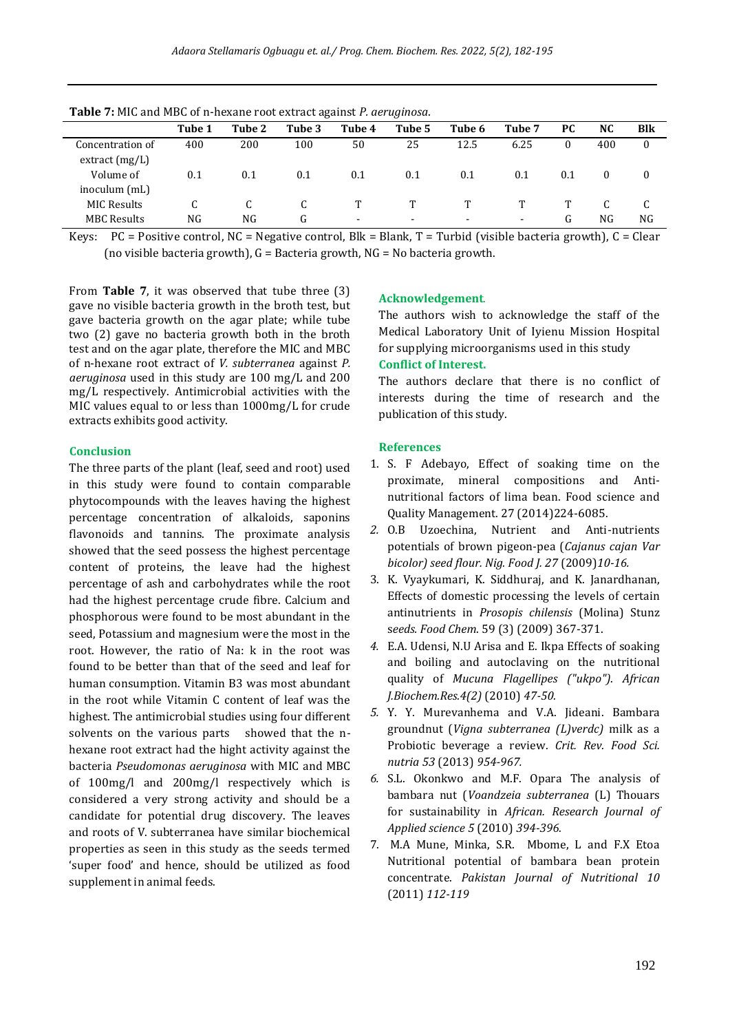| <b>rapic</b> 7: MIG and MDG 01 II IICAdilC TOOL CALLACE againSe 1 . act agmosa. |        |        |        |                |                          |        |        |          |           |          |
|---------------------------------------------------------------------------------|--------|--------|--------|----------------|--------------------------|--------|--------|----------|-----------|----------|
|                                                                                 | Tube 1 | Tube 2 | Tube 3 | Tube 4         | Tube 5                   | Tube 6 | Tube 7 | PC.      | <b>NC</b> | Blk      |
| Concentration of                                                                | 400    | 200    | 100    | 50             | 25                       | 12.5   | 6.25   | $\theta$ | 400       | 0        |
| extract(mg/L)                                                                   |        |        |        |                |                          |        |        |          |           |          |
| Volume of                                                                       | 0.1    | 0.1    | 0.1    | 0.1            | 0.1                      | 0.1    | 0.1    | 0.1      | $\theta$  | $\theta$ |
| inoculum (mL)                                                                   |        |        |        |                |                          |        |        |          |           |          |
| <b>MIC Results</b>                                                              | C      |        |        |                |                          |        |        |          |           |          |
| <b>MBC Results</b>                                                              | NG     | NG     | G      | $\blacksquare$ | $\overline{\phantom{0}}$ | -      |        | G        | NG        | NG       |

**Table 7:** MIC and MBC of n-hexane root extract against *P. aeruginosa*.

Keys:  $PC = Positive control, NC = Negative control, Blk = Blank, T = Turbid (visible bacteria growth), C = Clear$ (no visible bacteria growth),  $G =$  Bacteria growth,  $NG =$  No bacteria growth.

From **Table 7**, it was observed that tube three (3) gave no visible bacteria growth in the broth test, but gave bacteria growth on the agar plate; while tube two (2) gave no bacteria growth both in the broth test and on the agar plate, therefore the MIC and MBC of n-hexane root extract of *V. subterranea* against *P. aeruginosa* used in this study are 100 mg/L and 200 mg/L respectively. Antimicrobial activities with the MIC values equal to or less than 1000mg/L for crude extracts exhibits good activity.

### **Conclusion**

The three parts of the plant (leaf, seed and root) used in this study were found to contain comparable phytocompounds with the leaves having the highest percentage concentration of alkaloids, saponins flavonoids and tannins. The proximate analysis showed that the seed possess the highest percentage content of proteins, the leave had the highest percentage of ash and carbohydrates while the root had the highest percentage crude fibre. Calcium and phosphorous were found to be most abundant in the seed, Potassium and magnesium were the most in the root. However, the ratio of Na: k in the root was found to be better than that of the seed and leaf for human consumption. Vitamin B3 was most abundant in the root while Vitamin C content of leaf was the highest. The antimicrobial studies using four different solvents on the various parts showed that the nhexane root extract had the hight activity against the bacteria *Pseudomonas aeruginosa* with MIC and MBC of 100mg/l and 200mg/l respectively which is considered a very strong activity and should be a candidate for potential drug discovery. The leaves and roots of V. subterranea have similar biochemical properties as seen in this study as the seeds termed 'super food' and hence, should be utilized as food supplement in animal feeds.

# **Acknowledgement**.

The authors wish to acknowledge the staff of the Medical Laboratory Unit of Iyienu Mission Hospital for supplying microorganisms used in this study **Conflict of Interest.**

The authors declare that there is no conflict of interests during the time of research and the publication of this study.

#### **References**

- 1. S. F Adebayo, Effect of soaking time on the proximate, mineral compositions and Antinutritional factors of lima bean. Food science and Quality Management. 27 (2014)224-6085.
- *2.* O.B Uzoechina, Nutrient and Anti-nutrients potentials of brown pigeon-pea (*Cajanus cajan Var bicolor) seed flour. Nig. Food J. 27* (2009)*10-16.*
- 3. K. Vyaykumari, K. Siddhuraj, and K. Janardhanan, Effects of domestic processing the levels of certain antinutrients in *Prosopis chilensis* (Molina) Stunz s*eeds. Food Chem*. 59 (3) (2009) 367-371.
- *4.* E.A. Udensi, N.U Arisa and E. Ikpa Effects of soaking and boiling and autoclaving on the nutritional quality of *Mucuna Flagellipes ("ukpo"). African J.Biochem.Res.4(2)* (2010) *47-50.*
- *5.* Y. Y. Murevanhema and V.A. Jideani. Bambara groundnut (*Vigna subterranea (L)verdc)* milk as a Probiotic beverage a review. *Crit. Rev. Food Sci. nutria 53* (2013) *954-967.*
- *6.* S.L. Okonkwo and M.F. Opara The analysis of bambara nut (*Voandzeia subterranea* (L) Thouars for sustainability in *African. Research Journal of Applied science 5* (2010) *394-396.*
- 7. M.A Mune, Minka, S.R. Mbome, L and F.X Etoa Nutritional potential of bambara bean protein concentrate. *Pakistan Journal of Nutritional 10*  (2011) *112-119*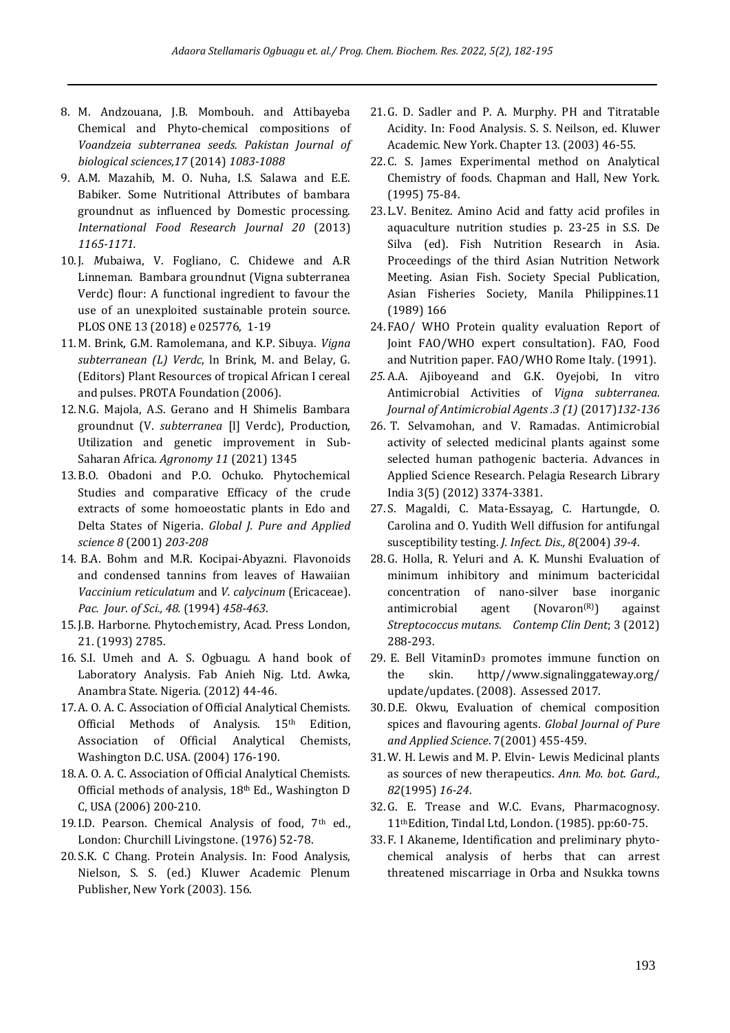- 8. M. Andzouana, J.B. Mombouh. and Attibayeba Chemical and Phyto-chemical compositions of *Voandzeia subterranea seeds. Pakistan Journal of biological sciences,17* (2014) *1083-1088*
- 9. A.M. Mazahib, M. O. Nuha, I.S. Salawa and E.E. Babiker. Some Nutritional Attributes of bambara groundnut as influenced by Domestic processing. *International Food Research Journal 20* (2013) *1165-1171.*
- 10.J. *M*ubaiwa, V. Fogliano, C. Chidewe and A.R Linneman. Bambara groundnut (Vigna subterranea Verdc) flour: A functional ingredient to favour the use of an unexploited sustainable protein source. PLOS ONE 13 (2018) e 025776, 1-19
- 11.M. Brink, G.M. Ramolemana, and K.P. Sibuya. *Vigna subterranean (L) Verdc*, ln Brink, M. and Belay, G. (Editors) Plant Resources of tropical African I cereal and pulses. PROTA Foundation (2006).
- 12.N.G. Majola, A.S. Gerano and H Shimelis Bambara groundnut (V. *subterranea* [l] Verdc), Production, Utilization and genetic improvement in Sub-Saharan Africa. *Agronomy 11* (2021) 1345
- 13.B.O. Obadoni and P.O. Ochuko. Phytochemical Studies and comparative Efficacy of the crude extracts of some homoeostatic plants in Edo and Delta States of Nigeria. *Global J. Pure and Applied science 8* (2001) *203-208*
- 14. B.A. Bohm and M.R. Kocipai-Abyazni. Flavonoids and condensed tannins from leaves of Hawaiian *Vaccinium reticulatum* and *V. calycinum* (Ericaceae). *Pac. Jour. of Sci., 48.* (1994) *458-463*.
- 15.J.B. Harborne. Phytochemistry, Acad. Press London, 21. (1993) 2785.
- 16. S.I. Umeh and A. S. Ogbuagu. A hand book of Laboratory Analysis. Fab Anieh Nig. Ltd. Awka, Anambra State. Nigeria. (2012) 44-46.
- 17.A. O. A. C. Association of Official Analytical Chemists. Official Methods of Analysis. 15<sup>th</sup> Edition, Association of Official Analytical Chemists, Washington D.C. USA. (2004) 176-190.
- 18.A. O. A. C. Association of Official Analytical Chemists. Official methods of analysis, 18th Ed., Washington D C, USA (2006) 200-210.
- 19.I.D. Pearson. Chemical Analysis of food, 7<sup>th</sup> ed., London: Churchill Livingstone. (1976) 52-78.
- 20.S.K. C Chang. Protein Analysis. In: Food Analysis, Nielson, S. S. (ed.) Kluwer Academic Plenum Publisher, New York (2003). 156.
- 21.G. D. Sadler and P. A. Murphy. PH and Titratable Acidity. In: Food Analysis. S. S. Neilson, ed. Kluwer Academic. New York. Chapter 13. (2003) 46-55.
- 22.C. S. James Experimental method on Analytical Chemistry of foods. Chapman and Hall, New York. (1995) 75-84.
- 23.L.V. Benitez. Amino Acid and fatty acid profiles in aquaculture nutrition studies p. 23-25 in S.S. De Silva (ed). Fish Nutrition Research in Asia. Proceedings of the third Asian Nutrition Network Meeting. Asian Fish. Society Special Publication, Asian Fisheries Society, Manila Philippines.11 (1989) 166
- 24.FAO/ WHO Protein quality evaluation Report of Joint FAO/WHO expert consultation). FAO, Food and Nutrition paper. FAO/WHO Rome Italy. (1991).
- *25.* A.A. Ajiboyeand and G.K. Oyejobi, In vitro Antimicrobial Activities of *Vigna subterranea. Journal of Antimicrobial Agents .3 (1)* (2017)*132-136*
- 26. T. Selvamohan, and V. Ramadas. Antimicrobial activity of selected medicinal plants against some selected human pathogenic bacteria. Advances in Applied Science Research. Pelagia Research Library India 3(5) (2012) 3374-3381.
- 27.S. Magaldi, C. Mata-Essayag, C. Hartungde, O. Carolina and O. Yudith Well diffusion for antifungal susceptibility testing. *J. Infect. Dis., 8*(2004) *39-4*.
- 28.G. Holla, R. Yeluri and A. K. Munshi Evaluation of minimum inhibitory and minimum bactericidal concentration of nano-silver base inorganic antimicrobial agent (Novaron<sup>(R)</sup>) against *Streptococcus mutans. Contemp Clin Dent*; 3 (2012) 288-293.
- 29. E. Bell VitaminD<sup>3</sup> promotes immune function on the skin. http//www.signalinggateway.org/ update/updates. (2008). Assessed 2017.
- 30.D.E. Okwu, Evaluation of chemical composition spices and flavouring agents. *Global Journal of Pure and Applied Science*. 7(2001) 455-459.
- 31.W. H. Lewis and M. P. Elvin- Lewis Medicinal plants as sources of new therapeutics. *Ann. Mo. bot. Gard., 82*(1995) *16-24*.
- 32.G. E. Trease and W.C. Evans, Pharmacognosy. 11thEdition, Tindal Ltd, London. (1985). pp:60-75.
- 33.F. I Akaneme, Identification and preliminary phytochemical analysis of herbs that can arrest threatened miscarriage in Orba and Nsukka towns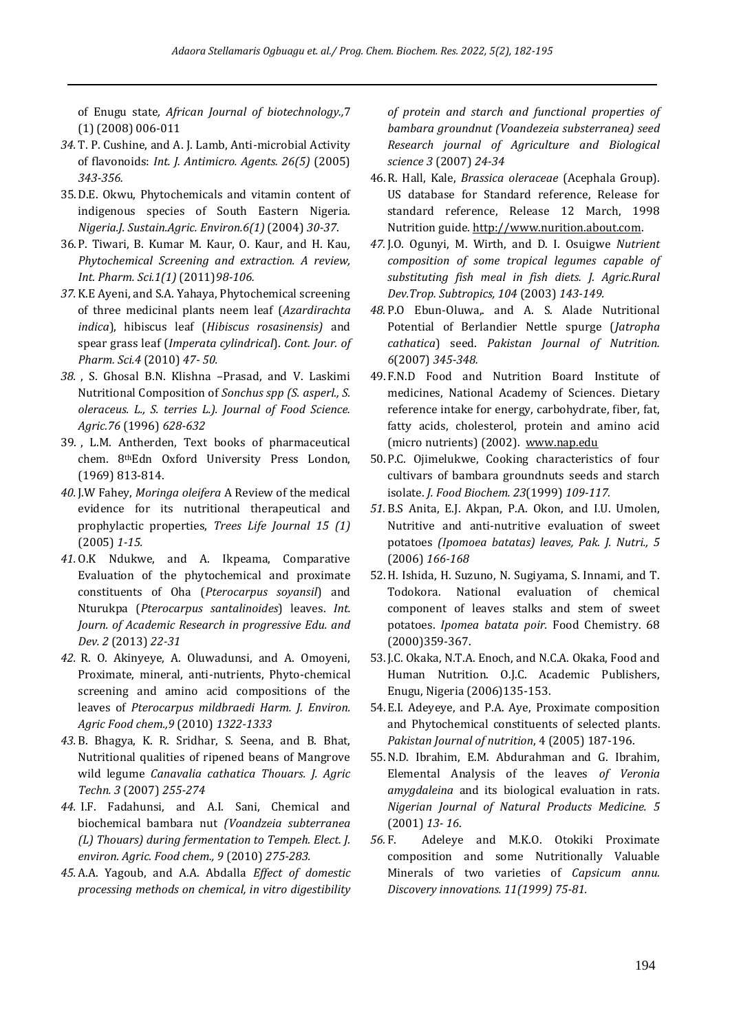of Enugu state*, African Journal of biotechnology.,*7 (1) (2008) 006-011

- *34.* T. P. Cushine, and A. J. Lamb, Anti-microbial Activity of flavonoids: *Int. J. Antimicro. Agents. 26(5)* (2005) *343-356.*
- 35.D.E. Okwu, Phytochemicals and vitamin content of indigenous species of South Eastern Nigeria. *Nigeria.J. Sustain.Agric. Environ.6(1)* (2004) *30-37*.
- 36.P. Tiwari, B. Kumar M. Kaur, O. Kaur, and H. Kau, *Phytochemical Screening and extraction. A review, Int. Pharm. Sci.1(1)* (2011)*98-106.*
- *37.* K.E Ayeni, and S.A. Yahaya, Phytochemical screening of three medicinal plants neem leaf (*Azardirachta indica*), hibiscus leaf (*Hibiscus rosasinensis)* and spear grass leaf (*Imperata cylindrical*). *Cont. Jour. of Pharm. Sci.4* (2010) *47- 50.*
- *38.* , S. Ghosal B.N. Klishna –Prasad, and V. Laskimi Nutritional Composition of *Sonchus spp (S. asperl., S. oleraceus. L., S. terries L.). Journal of Food Science. Agric.76* (1996) *628-632*
- 39. , L.M. Antherden, Text books of pharmaceutical chem. 8thEdn Oxford University Press London, (1969) 813-814.
- *40.* J.W Fahey, *Moringa oleifera* A Review of the medical evidence for its nutritional therapeutical and prophylactic properties, *Trees Life Journal 15 (1)*  (2005) *1-15.*
- *41.* O.K Ndukwe, and A. Ikpeama, Comparative Evaluation of the phytochemical and proximate constituents of Oha (*Pterocarpus soyansil*) and Nturukpa (*Pterocarpus santalinoides*) leaves. *Int. Journ. of Academic Research in progressive Edu. and Dev. 2* (2013) *22-31*
- *42.* R. O. Akinyeye, A. Oluwadunsi, and A. Omoyeni, Proximate, mineral, anti-nutrients, Phyto-chemical screening and amino acid compositions of the leaves of *Pterocarpus mildbraedi Harm. J. Environ. Agric Food chem.,9* (2010) *1322-1333*
- *43.* B. Bhagya, K. R. Sridhar, S. Seena, and B. Bhat, Nutritional qualities of ripened beans of Mangrove wild legume *Canavalia cathatica Thouars. J. Agric Techn. 3* (2007) *255-274*
- *44.* I.F. Fadahunsi, and A.I. Sani, Chemical and biochemical bambara nut *(Voandzeia subterranea (L) Thouars) during fermentation to Tempeh. Elect. J. environ. Agric. Food chem., 9* (2010) *275-283.*
- *45.* A.A. Yagoub, and A.A. Abdalla *Effect of domestic processing methods on chemical, in vitro digestibility*

*of protein and starch and functional properties of bambara groundnut (Voandezeia substerranea) seed Research journal of Agriculture and Biological science 3* (2007) *24-34*

- 46.R. Hall, Kale, *Brassica oleraceae* (Acephala Group). US database for Standard reference, Release for standard reference, Release 12 March, 1998 Nutrition guide. [http://www.nurition.about.com.](http://www.nurition.about.com/)
- *47.* J.O. Ogunyi, M. Wirth, and D. I. Osuigwe *Nutrient composition of some tropical legumes capable of substituting fish meal in fish diets. J. Agric.Rural Dev.Trop. Subtropics, 104* (2003) *143-149.*
- *48.* P.O Ebun-Oluwa,. and A. S. Alade Nutritional Potential of Berlandier Nettle spurge (*Jatropha cathatica*) seed. *Pakistan Journal of Nutrition. 6*(2007) *345-348.*
- 49.F.N.D Food and Nutrition Board Institute of medicines, National Academy of Sciences. Dietary reference intake for energy, carbohydrate, fiber, fat, fatty acids, cholesterol, protein and amino acid (micro nutrients) (2002). [www.nap.edu](http://www.nap.edu/)
- 50.P.C. Ojimelukwe, Cooking characteristics of four cultivars of bambara groundnuts seeds and starch isolate. *J. Food Biochem. 23*(1999) *109-117.*
- *51.* B.S Anita, E.J. Akpan, P.A. Okon, and I.U. Umolen, Nutritive and anti-nutritive evaluation of sweet potatoes *(Ipomoea batatas) leaves, Pak. J. Nutri., 5* (2006) *166-168*
- 52.H. Ishida, H. Suzuno, N. Sugiyama, S. Innami, and T. Todokora. National evaluation of chemical component of leaves stalks and stem of sweet potatoes. *Ipomea batata poir.* Food Chemistry. 68 (2000)359-367.
- 53.J.C. Okaka, N.T.A. Enoch, and N.C.A. Okaka, Food and Human Nutrition. O.J.C. Academic Publishers, Enugu, Nigeria (2006)135-153.
- 54.E.I. Adeyeye, and P.A. Aye, Proximate composition and Phytochemical constituents of selected plants. *Pakistan Journal of nutrition*, 4 (2005) 187-196.
- 55.N.D. Ibrahim, E.M. Abdurahman and G. Ibrahim, Elemental Analysis of the leaves *of Veronia amygdaleina* and its biological evaluation in rats. *Nigerian Journal of Natural Products Medicine. 5* (2001) *13- 16*.
- *56.* F. Adeleye and M.K.O. Otokiki Proximate composition and some Nutritionally Valuable Minerals of two varieties of *Capsicum annu. Discovery innovations. 11(1999) 75-81.*